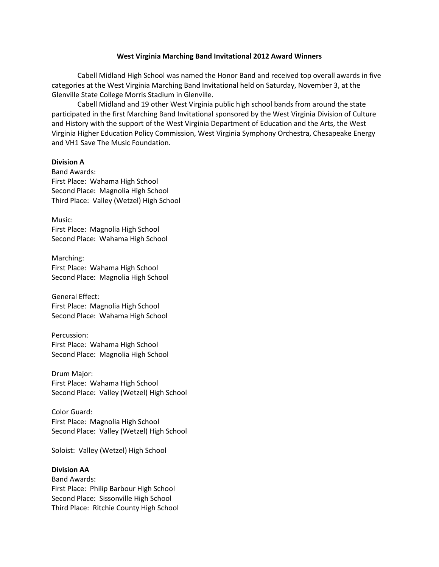### **West Virginia Marching Band Invitational 2012 Award Winners**

Cabell Midland High School was named the Honor Band and received top overall awards in five categories at the West Virginia Marching Band Invitational held on Saturday, November 3, at the Glenville State College Morris Stadium in Glenville.

Cabell Midland and 19 other West Virginia public high school bands from around the state participated in the first Marching Band Invitational sponsored by the West Virginia Division of Culture and History with the support of the West Virginia Department of Education and the Arts, the West Virginia Higher Education Policy Commission, West Virginia Symphony Orchestra, Chesapeake Energy and VH1 Save The Music Foundation.

### **Division A**

Band Awards: First Place: Wahama High School Second Place: Magnolia High School Third Place: Valley (Wetzel) High School

Music: First Place: Magnolia High School Second Place: Wahama High School

Marching: First Place: Wahama High School Second Place: Magnolia High School

General Effect: First Place: Magnolia High School Second Place: Wahama High School

Percussion: First Place: Wahama High School Second Place: Magnolia High School

Drum Major: First Place: Wahama High School Second Place: Valley (Wetzel) High School

Color Guard: First Place: Magnolia High School Second Place: Valley (Wetzel) High School

Soloist: Valley (Wetzel) High School

### **Division AA**

Band Awards: First Place: Philip Barbour High School Second Place: Sissonville High School Third Place: Ritchie County High School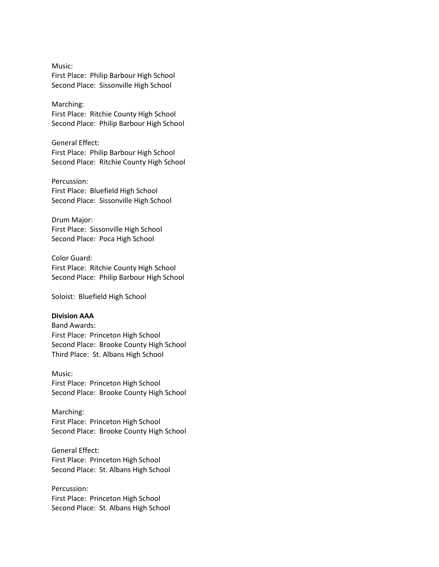Music: First Place: Philip Barbour High School Second Place: Sissonville High School

Marching:

First Place: Ritchie County High School Second Place: Philip Barbour High School

General Effect: First Place: Philip Barbour High School Second Place: Ritchie County High School

Percussion: First Place: Bluefield High School Second Place: Sissonville High School

Drum Major: First Place: Sissonville High School Second Place: Poca High School

Color Guard: First Place: Ritchie County High School Second Place: Philip Barbour High School

Soloist: Bluefield High School

### **Division AAA**

Band Awards: First Place: Princeton High School Second Place: Brooke County High School Third Place: St. Albans High School

Music: First Place: Princeton High School Second Place: Brooke County High School

Marching: First Place: Princeton High School Second Place: Brooke County High School

General Effect: First Place: Princeton High School Second Place: St. Albans High School

Percussion: First Place: Princeton High School Second Place: St. Albans High School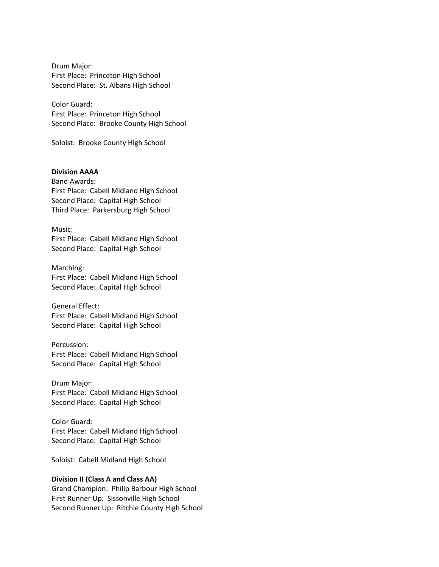Drum Major: First Place: Princeton High School Second Place: St. Albans High School

Color Guard: First Place: Princeton High School Second Place: Brooke County High School

Soloist: Brooke County High School

### **Division AAAA**

Band Awards: First Place: Cabell Midland High School Second Place: Capital High School Third Place: Parkersburg High School

Music: First Place: Cabell Midland High School Second Place: Capital High School

Marching: First Place: Cabell Midland High School Second Place: Capital High School

General Effect: First Place: Cabell Midland High School Second Place: Capital High School

# Percussion: First Place: Cabell Midland High School Second Place: Capital High School

Drum Major: First Place: Cabell Midland High School Second Place: Capital High School

Color Guard: First Place: Cabell Midland High School Second Place: Capital High School

Soloist: Cabell Midland High School

### **Division II (Class A and Class AA)**

Grand Champion: Philip Barbour High School First Runner Up: Sissonville High School Second Runner Up: Ritchie County High School